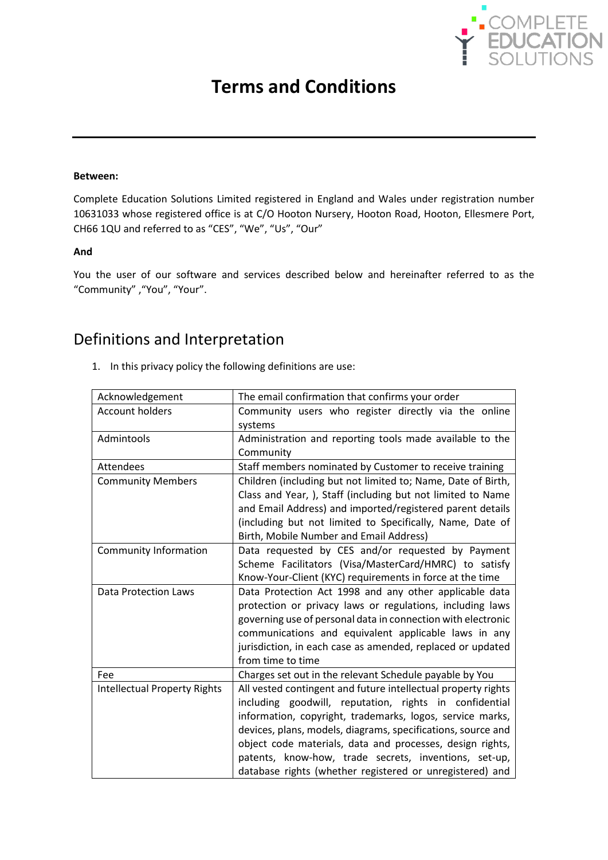

# **Terms and Conditions**

#### **Between:**

Complete Education Solutions Limited registered in England and Wales under registration number 10631033 whose registered office is at C/O Hooton Nursery, Hooton Road, Hooton, Ellesmere Port, CH66 1QU and referred to as "CES", "We", "Us", "Our"

#### **And**

You the user of our software and services described below and hereinafter referred to as the "Community" ,"You", "Your".

#### Definitions and Interpretation

1. In this privacy policy the following definitions are use:

| Acknowledgement                     | The email confirmation that confirms your order                                                                                                                                                                                                                                                                                                                                                                                        |
|-------------------------------------|----------------------------------------------------------------------------------------------------------------------------------------------------------------------------------------------------------------------------------------------------------------------------------------------------------------------------------------------------------------------------------------------------------------------------------------|
| <b>Account holders</b>              | Community users who register directly via the online<br>systems                                                                                                                                                                                                                                                                                                                                                                        |
| Admintools                          | Administration and reporting tools made available to the<br>Community                                                                                                                                                                                                                                                                                                                                                                  |
| Attendees                           | Staff members nominated by Customer to receive training                                                                                                                                                                                                                                                                                                                                                                                |
| <b>Community Members</b>            | Children (including but not limited to; Name, Date of Birth,                                                                                                                                                                                                                                                                                                                                                                           |
|                                     | Class and Year, ), Staff (including but not limited to Name<br>and Email Address) and imported/registered parent details<br>(including but not limited to Specifically, Name, Date of<br>Birth, Mobile Number and Email Address)                                                                                                                                                                                                       |
| Community Information               | Data requested by CES and/or requested by Payment<br>Scheme Facilitators (Visa/MasterCard/HMRC) to satisfy<br>Know-Your-Client (KYC) requirements in force at the time                                                                                                                                                                                                                                                                 |
| Data Protection Laws                | Data Protection Act 1998 and any other applicable data<br>protection or privacy laws or regulations, including laws<br>governing use of personal data in connection with electronic<br>communications and equivalent applicable laws in any<br>jurisdiction, in each case as amended, replaced or updated<br>from time to time                                                                                                         |
| Fee                                 | Charges set out in the relevant Schedule payable by You                                                                                                                                                                                                                                                                                                                                                                                |
| <b>Intellectual Property Rights</b> | All vested contingent and future intellectual property rights<br>including goodwill, reputation, rights in confidential<br>information, copyright, trademarks, logos, service marks,<br>devices, plans, models, diagrams, specifications, source and<br>object code materials, data and processes, design rights,<br>patents, know-how, trade secrets, inventions, set-up,<br>database rights (whether registered or unregistered) and |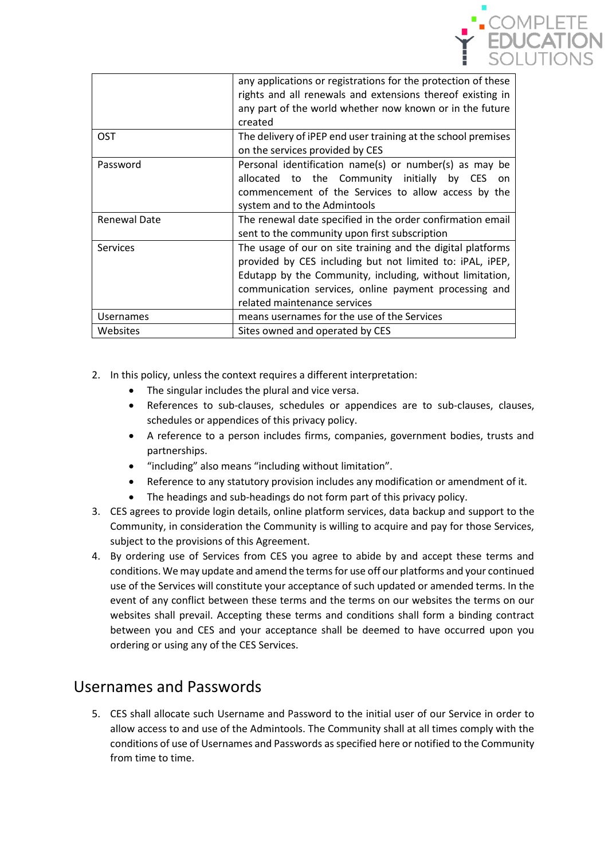

|                     | any applications or registrations for the protection of these<br>rights and all renewals and extensions thereof existing in<br>any part of the world whether now known or in the future<br>created                                                                            |
|---------------------|-------------------------------------------------------------------------------------------------------------------------------------------------------------------------------------------------------------------------------------------------------------------------------|
| <b>OST</b>          | The delivery of iPEP end user training at the school premises<br>on the services provided by CES                                                                                                                                                                              |
| Password            | Personal identification name(s) or number(s) as may be<br>allocated to the Community initially by CES<br>on on<br>commencement of the Services to allow access by the<br>system and to the Admintools                                                                         |
| <b>Renewal Date</b> | The renewal date specified in the order confirmation email<br>sent to the community upon first subscription                                                                                                                                                                   |
| Services            | The usage of our on site training and the digital platforms<br>provided by CES including but not limited to: iPAL, iPEP,<br>Edutapp by the Community, including, without limitation,<br>communication services, online payment processing and<br>related maintenance services |
| <b>Usernames</b>    | means usernames for the use of the Services                                                                                                                                                                                                                                   |
| Websites            | Sites owned and operated by CES                                                                                                                                                                                                                                               |

- 2. In this policy, unless the context requires a different interpretation:
	- The singular includes the plural and vice versa.
	- References to sub-clauses, schedules or appendices are to sub-clauses, clauses, schedules or appendices of this privacy policy.
	- A reference to a person includes firms, companies, government bodies, trusts and partnerships.
	- "including" also means "including without limitation".
	- Reference to any statutory provision includes any modification or amendment of it.
	- The headings and sub-headings do not form part of this privacy policy.
- 3. CES agrees to provide login details, online platform services, data backup and support to the Community, in consideration the Community is willing to acquire and pay for those Services, subject to the provisions of this Agreement.
- 4. By ordering use of Services from CES you agree to abide by and accept these terms and conditions. We may update and amend the terms for use off our platforms and your continued use of the Services will constitute your acceptance of such updated or amended terms. In the event of any conflict between these terms and the terms on our websites the terms on our websites shall prevail. Accepting these terms and conditions shall form a binding contract between you and CES and your acceptance shall be deemed to have occurred upon you ordering or using any of the CES Services.

#### Usernames and Passwords

5. CES shall allocate such Username and Password to the initial user of our Service in order to allow access to and use of the Admintools. The Community shall at all times comply with the conditions of use of Usernames and Passwords as specified here or notified to the Community from time to time.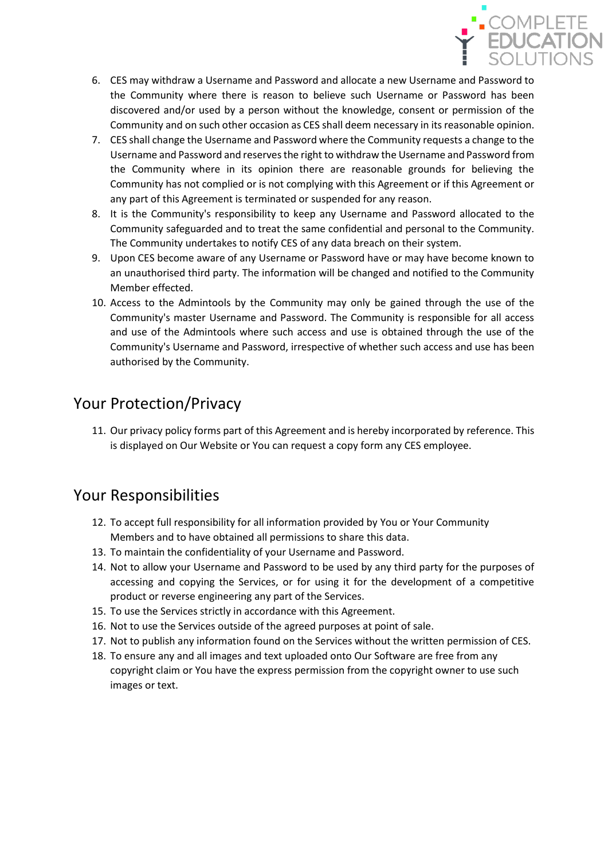

- 6. CES may withdraw a Username and Password and allocate a new Username and Password to the Community where there is reason to believe such Username or Password has been discovered and/or used by a person without the knowledge, consent or permission of the Community and on such other occasion as CES shall deem necessary in its reasonable opinion.
- 7. CES shall change the Username and Password where the Community requests a change to the Username and Password and reserves the right to withdraw the Username and Password from the Community where in its opinion there are reasonable grounds for believing the Community has not complied or is not complying with this Agreement or if this Agreement or any part of this Agreement is terminated or suspended for any reason.
- 8. It is the Community's responsibility to keep any Username and Password allocated to the Community safeguarded and to treat the same confidential and personal to the Community. The Community undertakes to notify CES of any data breach on their system.
- 9. Upon CES become aware of any Username or Password have or may have become known to an unauthorised third party. The information will be changed and notified to the Community Member effected.
- 10. Access to the Admintools by the Community may only be gained through the use of the Community's master Username and Password. The Community is responsible for all access and use of the Admintools where such access and use is obtained through the use of the Community's Username and Password, irrespective of whether such access and use has been authorised by the Community.

## Your Protection/Privacy

11. Our privacy policy forms part of this Agreement and is hereby incorporated by reference. This is displayed on Our Website or You can request a copy form any CES employee.

# Your Responsibilities

- 12. To accept full responsibility for all information provided by You or Your Community Members and to have obtained all permissions to share this data.
- 13. To maintain the confidentiality of your Username and Password.
- 14. Not to allow your Username and Password to be used by any third party for the purposes of accessing and copying the Services, or for using it for the development of a competitive product or reverse engineering any part of the Services.
- 15. To use the Services strictly in accordance with this Agreement.
- 16. Not to use the Services outside of the agreed purposes at point of sale.
- 17. Not to publish any information found on the Services without the written permission of CES.
- 18. To ensure any and all images and text uploaded onto Our Software are free from any copyright claim or You have the express permission from the copyright owner to use such images or text.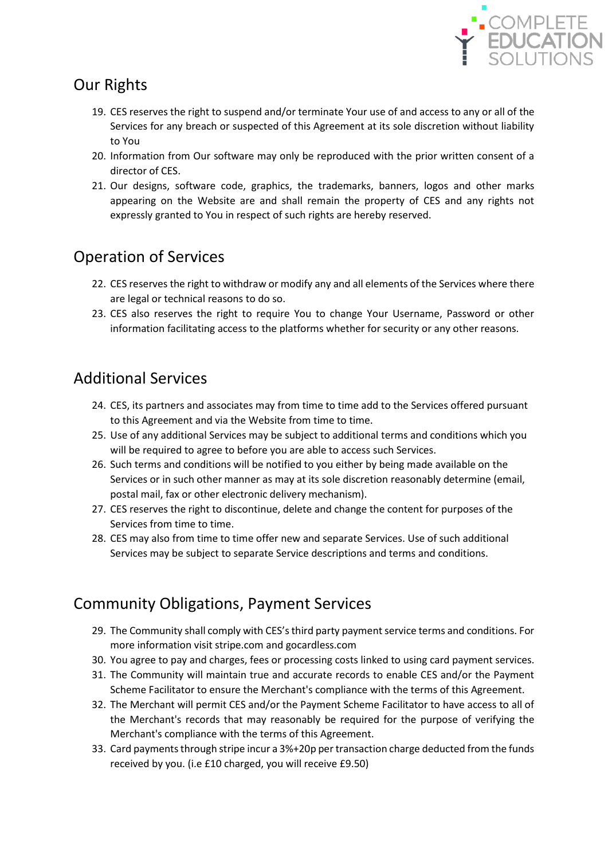

# Our Rights

- 19. CES reserves the right to suspend and/or terminate Your use of and access to any or all of the Services for any breach or suspected of this Agreement at its sole discretion without liability to You
- 20. Information from Our software may only be reproduced with the prior written consent of a director of CES.
- 21. Our designs, software code, graphics, the trademarks, banners, logos and other marks appearing on the Website are and shall remain the property of CES and any rights not expressly granted to You in respect of such rights are hereby reserved.

# Operation of Services

- 22. CES reserves the right to withdraw or modify any and all elements of the Services where there are legal or technical reasons to do so.
- 23. CES also reserves the right to require You to change Your Username, Password or other information facilitating access to the platforms whether for security or any other reasons.

# Additional Services

- 24. CES, its partners and associates may from time to time add to the Services offered pursuant to this Agreement and via the Website from time to time.
- 25. Use of any additional Services may be subject to additional terms and conditions which you will be required to agree to before you are able to access such Services.
- 26. Such terms and conditions will be notified to you either by being made available on the Services or in such other manner as may at its sole discretion reasonably determine (email, postal mail, fax or other electronic delivery mechanism).
- 27. CES reserves the right to discontinue, delete and change the content for purposes of the Services from time to time.
- 28. CES may also from time to time offer new and separate Services. Use of such additional Services may be subject to separate Service descriptions and terms and conditions.

# Community Obligations, Payment Services

- 29. The Community shall comply with CES's third party payment service terms and conditions. For more information visit stripe.com and gocardless.com
- 30. You agree to pay and charges, fees or processing costs linked to using card payment services.
- 31. The Community will maintain true and accurate records to enable CES and/or the Payment Scheme Facilitator to ensure the Merchant's compliance with the terms of this Agreement.
- 32. The Merchant will permit CES and/or the Payment Scheme Facilitator to have access to all of the Merchant's records that may reasonably be required for the purpose of verifying the Merchant's compliance with the terms of this Agreement.
- 33. Card payments through stripe incur a 3%+20p per transaction charge deducted from the funds received by you. (i.e £10 charged, you will receive £9.50)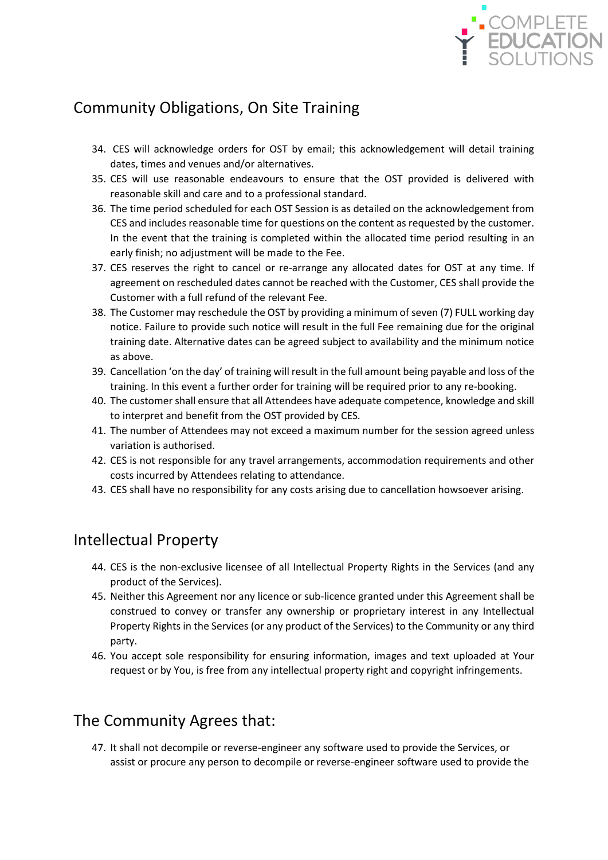

# Community Obligations, On Site Training

- 34. CES will acknowledge orders for OST by email; this acknowledgement will detail training dates, times and venues and/or alternatives.
- 35. CES will use reasonable endeavours to ensure that the OST provided is delivered with reasonable skill and care and to a professional standard.
- 36. The time period scheduled for each OST Session is as detailed on the acknowledgement from CES and includes reasonable time for questions on the content as requested by the customer. In the event that the training is completed within the allocated time period resulting in an early finish; no adjustment will be made to the Fee.
- 37. CES reserves the right to cancel or re-arrange any allocated dates for OST at any time. If agreement on rescheduled dates cannot be reached with the Customer, CES shall provide the Customer with a full refund of the relevant Fee.
- 38. The Customer may reschedule the OST by providing a minimum of seven (7) FULL working day notice. Failure to provide such notice will result in the full Fee remaining due for the original training date. Alternative dates can be agreed subject to availability and the minimum notice as above.
- 39. Cancellation 'on the day' of training will result in the full amount being payable and loss of the training. In this event a further order for training will be required prior to any re-booking.
- 40. The customer shall ensure that all Attendees have adequate competence, knowledge and skill to interpret and benefit from the OST provided by CES.
- 41. The number of Attendees may not exceed a maximum number for the session agreed unless variation is authorised.
- 42. CES is not responsible for any travel arrangements, accommodation requirements and other costs incurred by Attendees relating to attendance.
- 43. CES shall have no responsibility for any costs arising due to cancellation howsoever arising.

#### Intellectual Property

- 44. CES is the non-exclusive licensee of all Intellectual Property Rights in the Services (and any product of the Services).
- 45. Neither this Agreement nor any licence or sub-licence granted under this Agreement shall be construed to convey or transfer any ownership or proprietary interest in any Intellectual Property Rights in the Services (or any product of the Services) to the Community or any third party.
- 46. You accept sole responsibility for ensuring information, images and text uploaded at Your request or by You, is free from any intellectual property right and copyright infringements.

# The Community Agrees that:

47. It shall not decompile or reverse-engineer any software used to provide the Services, or assist or procure any person to decompile or reverse-engineer software used to provide the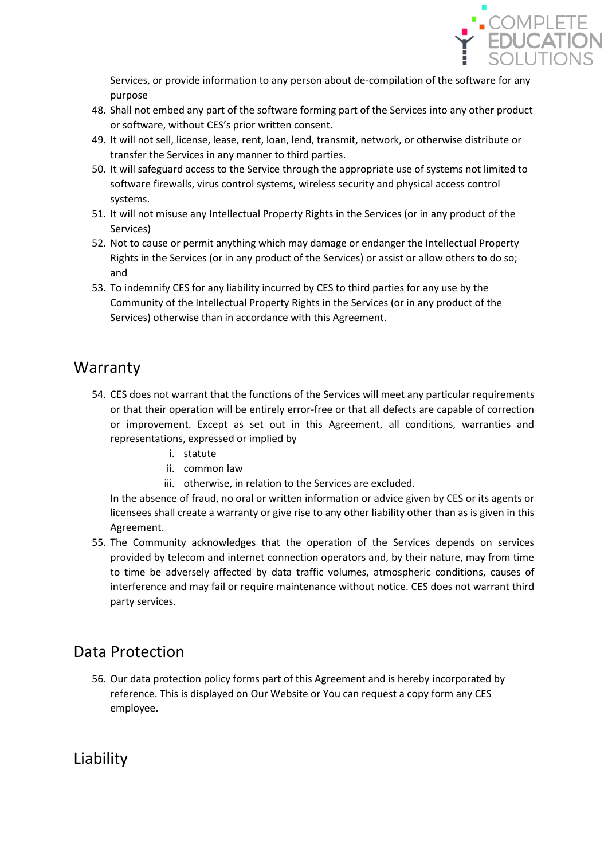

Services, or provide information to any person about de-compilation of the software for any purpose

- 48. Shall not embed any part of the software forming part of the Services into any other product or software, without CES's prior written consent.
- 49. It will not sell, license, lease, rent, loan, lend, transmit, network, or otherwise distribute or transfer the Services in any manner to third parties.
- 50. It will safeguard access to the Service through the appropriate use of systems not limited to software firewalls, virus control systems, wireless security and physical access control systems.
- 51. It will not misuse any Intellectual Property Rights in the Services (or in any product of the Services)
- 52. Not to cause or permit anything which may damage or endanger the Intellectual Property Rights in the Services (or in any product of the Services) or assist or allow others to do so; and
- 53. To indemnify CES for any liability incurred by CES to third parties for any use by the Community of the Intellectual Property Rights in the Services (or in any product of the Services) otherwise than in accordance with this Agreement.

#### **Warranty**

- 54. CES does not warrant that the functions of the Services will meet any particular requirements or that their operation will be entirely error-free or that all defects are capable of correction or improvement. Except as set out in this Agreement, all conditions, warranties and representations, expressed or implied by
	- i. statute
	- ii. common law
	- iii. otherwise, in relation to the Services are excluded.

In the absence of fraud, no oral or written information or advice given by CES or its agents or licensees shall create a warranty or give rise to any other liability other than as is given in this Agreement.

55. The Community acknowledges that the operation of the Services depends on services provided by telecom and internet connection operators and, by their nature, may from time to time be adversely affected by data traffic volumes, atmospheric conditions, causes of interference and may fail or require maintenance without notice. CES does not warrant third party services.

# Data Protection

56. Our data protection policy forms part of this Agreement and is hereby incorporated by reference. This is displayed on Our Website or You can request a copy form any CES employee.

Liability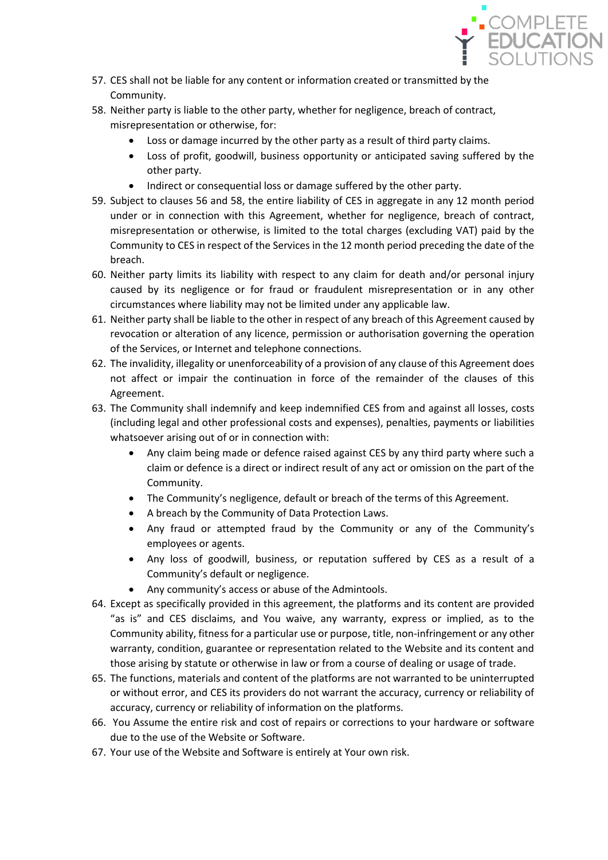

- 57. CES shall not be liable for any content or information created or transmitted by the Community.
- 58. Neither party is liable to the other party, whether for negligence, breach of contract, misrepresentation or otherwise, for:
	- Loss or damage incurred by the other party as a result of third party claims.
	- Loss of profit, goodwill, business opportunity or anticipated saving suffered by the other party.
	- Indirect or consequential loss or damage suffered by the other party.
- 59. Subject to clauses 56 and 58, the entire liability of CES in aggregate in any 12 month period under or in connection with this Agreement, whether for negligence, breach of contract, misrepresentation or otherwise, is limited to the total charges (excluding VAT) paid by the Community to CES in respect of the Services in the 12 month period preceding the date of the breach.
- 60. Neither party limits its liability with respect to any claim for death and/or personal injury caused by its negligence or for fraud or fraudulent misrepresentation or in any other circumstances where liability may not be limited under any applicable law.
- 61. Neither party shall be liable to the other in respect of any breach of this Agreement caused by revocation or alteration of any licence, permission or authorisation governing the operation of the Services, or Internet and telephone connections.
- 62. The invalidity, illegality or unenforceability of a provision of any clause of this Agreement does not affect or impair the continuation in force of the remainder of the clauses of this Agreement.
- 63. The Community shall indemnify and keep indemnified CES from and against all losses, costs (including legal and other professional costs and expenses), penalties, payments or liabilities whatsoever arising out of or in connection with:
	- Any claim being made or defence raised against CES by any third party where such a claim or defence is a direct or indirect result of any act or omission on the part of the Community.
	- The Community's negligence, default or breach of the terms of this Agreement.
	- A breach by the Community of Data Protection Laws.
	- Any fraud or attempted fraud by the Community or any of the Community's employees or agents.
	- Any loss of goodwill, business, or reputation suffered by CES as a result of a Community's default or negligence.
		- Any community's access or abuse of the Admintools.
- 64. Except as specifically provided in this agreement, the platforms and its content are provided "as is" and CES disclaims, and You waive, any warranty, express or implied, as to the Community ability, fitness for a particular use or purpose, title, non-infringement or any other warranty, condition, guarantee or representation related to the Website and its content and those arising by statute or otherwise in law or from a course of dealing or usage of trade.
- 65. The functions, materials and content of the platforms are not warranted to be uninterrupted or without error, and CES its providers do not warrant the accuracy, currency or reliability of accuracy, currency or reliability of information on the platforms.
- 66. You Assume the entire risk and cost of repairs or corrections to your hardware or software due to the use of the Website or Software.
- 67. Your use of the Website and Software is entirely at Your own risk.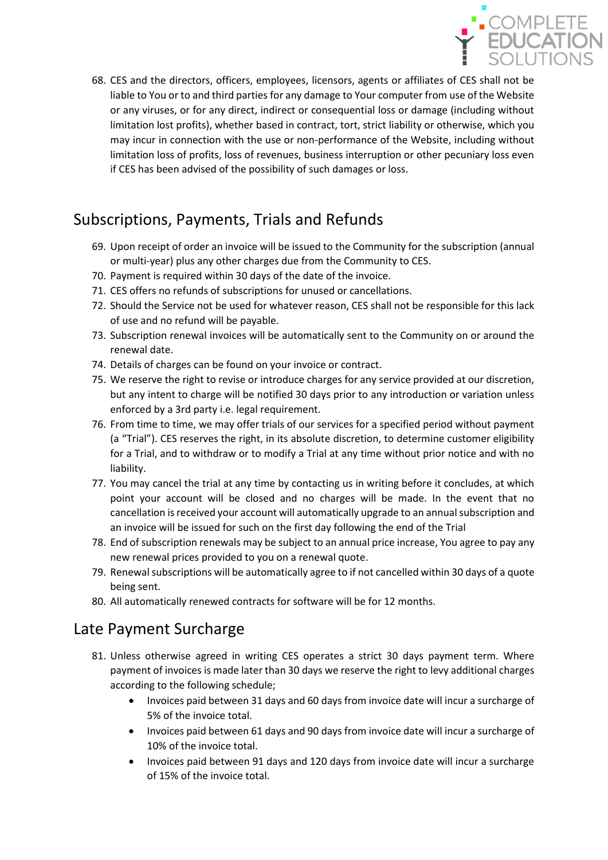

68. CES and the directors, officers, employees, licensors, agents or affiliates of CES shall not be liable to You or to and third parties for any damage to Your computer from use of the Website or any viruses, or for any direct, indirect or consequential loss or damage (including without limitation lost profits), whether based in contract, tort, strict liability or otherwise, which you may incur in connection with the use or non-performance of the Website, including without limitation loss of profits, loss of revenues, business interruption or other pecuniary loss even if CES has been advised of the possibility of such damages or loss.

# Subscriptions, Payments, Trials and Refunds

- 69. Upon receipt of order an invoice will be issued to the Community for the subscription (annual or multi-year) plus any other charges due from the Community to CES.
- 70. Payment is required within 30 days of the date of the invoice.
- 71. CES offers no refunds of subscriptions for unused or cancellations.
- 72. Should the Service not be used for whatever reason, CES shall not be responsible for this lack of use and no refund will be payable.
- 73. Subscription renewal invoices will be automatically sent to the Community on or around the renewal date.
- 74. Details of charges can be found on your invoice or contract.
- 75. We reserve the right to revise or introduce charges for any service provided at our discretion, but any intent to charge will be notified 30 days prior to any introduction or variation unless enforced by a 3rd party i.e. legal requirement.
- 76. From time to time, we may offer trials of our services for a specified period without payment (a "Trial"). CES reserves the right, in its absolute discretion, to determine customer eligibility for a Trial, and to withdraw or to modify a Trial at any time without prior notice and with no liability.
- 77. You may cancel the trial at any time by contacting us in writing before it concludes, at which point your account will be closed and no charges will be made. In the event that no cancellation is received your account will automatically upgrade to an annualsubscription and an invoice will be issued for such on the first day following the end of the Trial
- 78. End of subscription renewals may be subject to an annual price increase, You agree to pay any new renewal prices provided to you on a renewal quote.
- 79. Renewal subscriptions will be automatically agree to if not cancelled within 30 days of a quote being sent.
- 80. All automatically renewed contracts for software will be for 12 months.

### Late Payment Surcharge

- 81. Unless otherwise agreed in writing CES operates a strict 30 days payment term. Where payment of invoices is made later than 30 days we reserve the right to levy additional charges according to the following schedule;
	- Invoices paid between 31 days and 60 days from invoice date will incur a surcharge of 5% of the invoice total.
	- Invoices paid between 61 days and 90 days from invoice date will incur a surcharge of 10% of the invoice total.
	- Invoices paid between 91 days and 120 days from invoice date will incur a surcharge of 15% of the invoice total.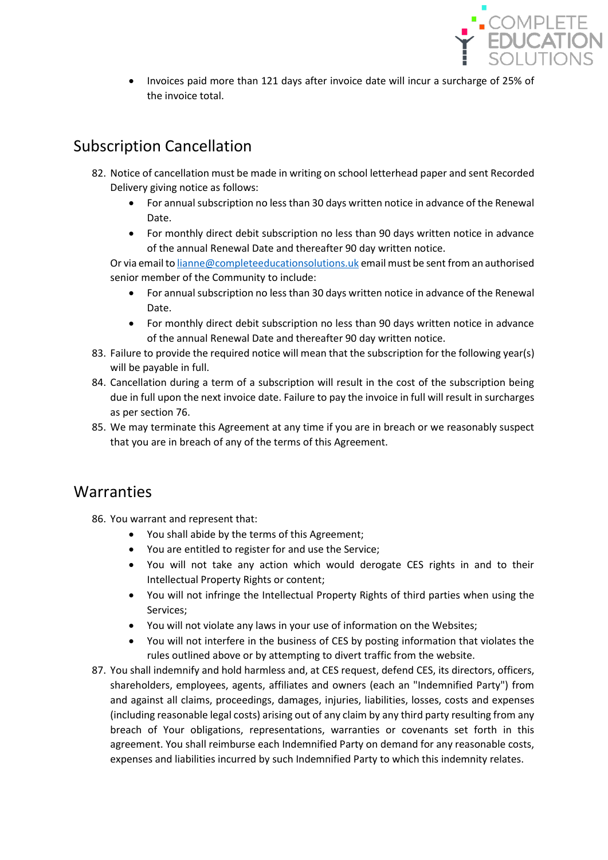

• Invoices paid more than 121 days after invoice date will incur a surcharge of 25% of the invoice total.

# Subscription Cancellation

- 82. Notice of cancellation must be made in writing on school letterhead paper and sent Recorded Delivery giving notice as follows:
	- For annual subscription no less than 30 days written notice in advance of the Renewal Date.
	- For monthly direct debit subscription no less than 90 days written notice in advance of the annual Renewal Date and thereafter 90 day written notice.

Or via email t[o lianne@completeeducationsolutions.uk](mailto:lianne@completeeducationsolutions.uk) email must be sent from an authorised senior member of the Community to include:

- For annual subscription no less than 30 days written notice in advance of the Renewal Date.
- For monthly direct debit subscription no less than 90 days written notice in advance of the annual Renewal Date and thereafter 90 day written notice.
- 83. Failure to provide the required notice will mean that the subscription for the following year(s) will be payable in full.
- 84. Cancellation during a term of a subscription will result in the cost of the subscription being due in full upon the next invoice date. Failure to pay the invoice in full will result in surcharges as per section 76.
- 85. We may terminate this Agreement at any time if you are in breach or we reasonably suspect that you are in breach of any of the terms of this Agreement.

### **Warranties**

86. You warrant and represent that:

- You shall abide by the terms of this Agreement;
- You are entitled to register for and use the Service;
- You will not take any action which would derogate CES rights in and to their Intellectual Property Rights or content;
- You will not infringe the Intellectual Property Rights of third parties when using the Services;
- You will not violate any laws in your use of information on the Websites;
- You will not interfere in the business of CES by posting information that violates the rules outlined above or by attempting to divert traffic from the website.
- 87. You shall indemnify and hold harmless and, at CES request, defend CES, its directors, officers, shareholders, employees, agents, affiliates and owners (each an "Indemnified Party") from and against all claims, proceedings, damages, injuries, liabilities, losses, costs and expenses (including reasonable legal costs) arising out of any claim by any third party resulting from any breach of Your obligations, representations, warranties or covenants set forth in this agreement. You shall reimburse each Indemnified Party on demand for any reasonable costs, expenses and liabilities incurred by such Indemnified Party to which this indemnity relates.